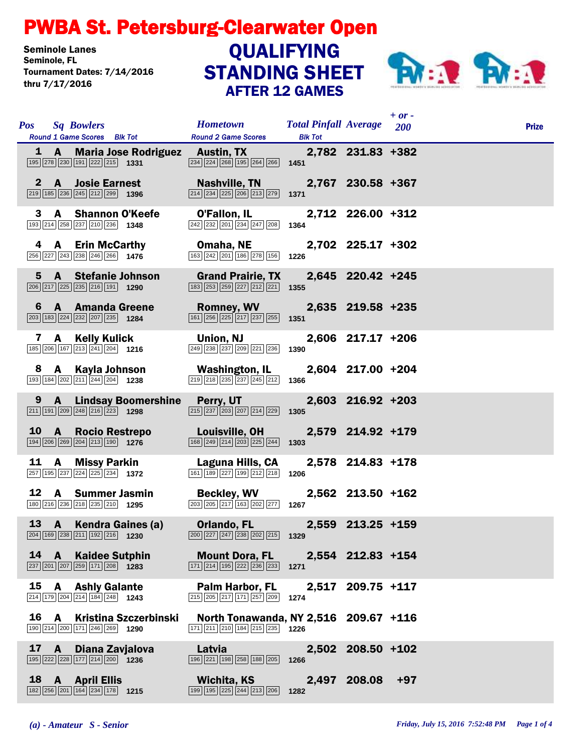## PWBA St. Petersburg-Clearwater Open

Seminole Lanes<br>Seminole, FL Tournament Dates: 7/14/2016 thru 7/17/2016

## STANDING SHEET AFTER 12 GAMES **QUALIFYING**



| <b>Pos</b> | <b>Sq Bowlers</b><br>Round 1 Game Scores Blk Tot                                                                        |                            | <b>Hometown</b><br><b>Round 2 Game Scores</b>                                                                                                                    | <b>Total Pinfall Average</b> 200<br><b>Blk Tot</b> |                   | $+$ or $-$ | <b>Prize</b> |
|------------|-------------------------------------------------------------------------------------------------------------------------|----------------------------|------------------------------------------------------------------------------------------------------------------------------------------------------------------|----------------------------------------------------|-------------------|------------|--------------|
|            | $\boxed{195}$ $\boxed{278}$ $\boxed{230}$ $\boxed{191}$ $\boxed{222}$ $\boxed{215}$ <b>1331</b>                         |                            | 1 A Maria Jose Rodriguez Austin, TX<br>$\sqrt{234}\sqrt{224}\sqrt{268}\sqrt{195}\sqrt{264}\sqrt{266}\$ 1451                                                      |                                                    | 2,782 231.83 +382 |            |              |
|            | 2 A Josie Earnest<br>$\boxed{219}$ 185 $\boxed{236}$ $\boxed{245}$ $\boxed{212}$ $\boxed{299}$ 1396                     |                            | Nashville, TN 2,767 230.58 +367<br>$\overline{ 214 }$ $\overline{ 234 }$ $\overline{ 225 }$ $\overline{ 206 }$ $\overline{ 213 }$ $\overline{ 279 }$ <b>1371</b> |                                                    |                   |            |              |
|            | 3 A Shannon O'Keefe<br>193 214 258 237 210 236 1348                                                                     |                            | O'Fallon, IL<br>$\sqrt{242}\sqrt{232}\sqrt{201}\sqrt{234}\sqrt{247}\sqrt{208}$ 1364                                                                              |                                                    | 2,712 226.00 +312 |            |              |
|            | 4 A Erin McCarthy<br>$\boxed{256}\boxed{227}\boxed{243}\boxed{238}\boxed{246}\boxed{266}$ 1476                          |                            | Omaha, NE<br>163 242 201 186 278 156                                                                                                                             | 1226                                               | 2,702 225.17 +302 |            |              |
|            | 5 A Stefanie Johnson<br>$\boxed{206}\boxed{217}\boxed{225}\boxed{235}\boxed{216}\boxed{191}$ 1290                       |                            | <b>Grand Prairie, TX</b><br>$\boxed{183}$ $\boxed{253}$ $\boxed{259}$ $\boxed{227}$ $\boxed{212}$ $\boxed{221}$                                                  | 1355                                               | 2,645 220.42 +245 |            |              |
|            | 6 A Amanda Greene<br>$\boxed{203}$ $\boxed{183}$ $\boxed{224}$ $\boxed{232}$ $\boxed{207}$ $\boxed{235}$ <b>1284</b>    |                            | <b>Romney, WV</b><br>$\boxed{161}\boxed{256}\boxed{225}\boxed{217}\boxed{237}\boxed{255}$                                                                        | 1351                                               | 2,635 219.58 +235 |            |              |
|            | 7 A Kelly Kulick<br>$\boxed{185}$ $\boxed{206}$ $\boxed{167}$ $\boxed{213}$ $\boxed{241}$ $\boxed{204}$ <b>1216</b>     |                            | Union, NJ<br>249 238 237 209 221 236                                                                                                                             | 1390                                               | 2,606 217.17 +206 |            |              |
|            | 8 A Kayla Johnson<br>$\boxed{193}$ $\boxed{184}$ $\boxed{202}$ $\boxed{211}$ $\boxed{244}$ $\boxed{204}$ <b>1238</b>    |                            | <b>Washington, IL</b><br>219 218 235 237 245 212                                                                                                                 | 1366                                               | 2,604 217.00 +204 |            |              |
|            | $\boxed{211}$ 191 $\boxed{209}$ $\boxed{248}$ $\boxed{216}$ $\boxed{223}$ 1298                                          |                            | 9 A Lindsay Boomershine Perry, UT<br>$\boxed{215}\boxed{237}\boxed{203}\boxed{207}\boxed{214}\boxed{229}$                                                        | 1305                                               | 2,603 216.92 +203 |            |              |
|            | 10 A Rocio Restrepo<br>$\boxed{194}$ $\boxed{206}$ $\boxed{269}$ $\boxed{204}$ $\boxed{213}$ $\boxed{190}$ <b>1276</b>  |                            | <b>Louisville, OH</b><br>168 249 214 203 225 244                                                                                                                 | 1303                                               | 2,579 214.92 +179 |            |              |
|            | 11 A Missy Parkin<br>$\boxed{257}$ 195 $\boxed{237}$ 224 $\boxed{225}$ 234 1372                                         |                            | Laguna Hills, CA<br>161 189 227 199 212 218                                                                                                                      | 1206                                               | 2,578 214.83 +178 |            |              |
|            | 12 A Summer Jasmin<br>180 216 236 218 235 210 1295                                                                      |                            | <b>Beckley, WV</b><br>$\sqrt{203}\sqrt{205}\sqrt{217}\sqrt{163}\sqrt{202}\sqrt{277}$ 1267                                                                        |                                                    | 2,562 213.50 +162 |            |              |
|            | 13 A Kendra Gaines (a)<br>$\boxed{204}$ $\boxed{169}$ $\boxed{238}$ $\boxed{211}$ $\boxed{192}$ $\boxed{216}$ 1230      |                            | Orlando, FL 2,559 213.25 +159<br>$\boxed{200}$ $\boxed{227}$ $\boxed{247}$ $\boxed{238}$ $\boxed{202}$ $\boxed{215}$ 1329                                        |                                                    |                   |            |              |
|            | 14 A Kaidee Sutphin<br>$\overline{ 237   201   207   259   171   208 }$ 1283                                            |                            | Mount Dora, FL 2,554 212.83 +154<br>$\overline{ 171 } 214   195   222   236   233 $ 1271                                                                         |                                                    |                   |            |              |
|            | 15 A Ashly Galante<br>$\boxed{214}$ $\boxed{179}$ $\boxed{204}$ $\boxed{214}$ $\boxed{184}$ $\boxed{248}$ 1243          |                            | <b>Palm Harbor, FL</b><br>$\overline{215}$ $\overline{205}$ $\overline{217}$ $\overline{171}$ $\overline{257}$ $\overline{209}$                                  | 1274                                               | 2,517 209.75 +117 |            |              |
|            | 190 214 200 171 246 269 1290                                                                                            | 16 A Kristina Szczerbinski | North Tonawanda, NY 2,516 209.67 +116<br>$\boxed{171}$ $\boxed{211}$ $\boxed{210}$ $\boxed{184}$ $\boxed{215}$ $\boxed{235}$ <b>1226</b>                         |                                                    |                   |            |              |
|            | 17 A Diana Zavjalova<br>$\boxed{195}$ $\boxed{222}$ $\boxed{228}$ $\boxed{177}$ $\boxed{214}$ $\boxed{200}$ <b>1236</b> |                            | Latvia<br>196 221 198 258 188 205                                                                                                                                | 1266                                               | 2,502 208.50 +102 |            |              |
|            | 18 A April Ellis<br>182 256 201 164 234 178 1215                                                                        |                            | Wichita, KS<br>199 195 225 244 213 206                                                                                                                           | 1282                                               | 2,497 208.08 +97  |            |              |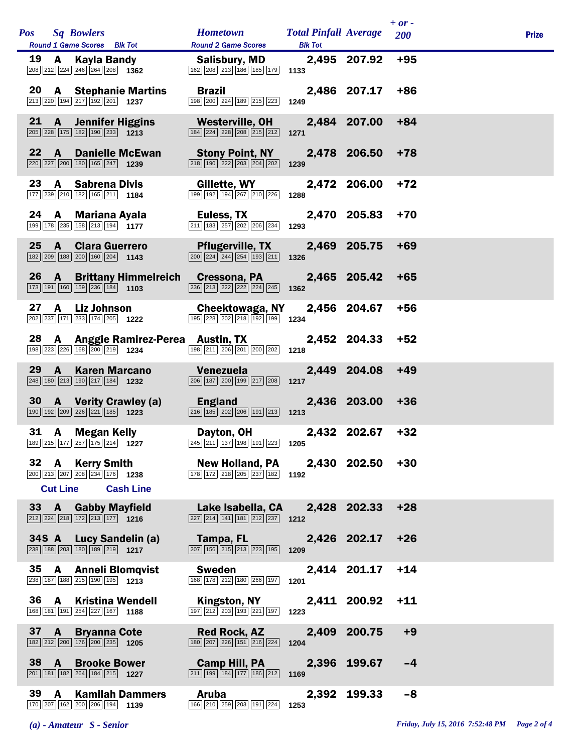|                 |                 |                                                                                                                                  |                                                                                                                                 |                                                |                  | $+ or -$ |              |  |
|-----------------|-----------------|----------------------------------------------------------------------------------------------------------------------------------|---------------------------------------------------------------------------------------------------------------------------------|------------------------------------------------|------------------|----------|--------------|--|
| <b>Pos</b>      |                 | <b>Sq Bowlers</b><br>Round 1 Game Scores Blk Tot                                                                                 | <b>Hometown</b><br><b>Round 2 Game Scores</b>                                                                                   | <b>Total Pinfall Average</b><br><b>Blk Tot</b> |                  | 200      | <b>Prize</b> |  |
| 19              | A               | Kayla Bandy<br>$\boxed{208}\boxed{212}\boxed{224}\boxed{246}\boxed{264}\boxed{208}$ 1362                                         | Salisbury, MD<br>$\boxed{162}$ $\boxed{208}$ $\boxed{213}$ $\boxed{186}$ $\boxed{185}$ $\boxed{179}$                            | 1133                                           | 2,495 207.92     | $+95$    |              |  |
|                 |                 | 20 A Stephanie Martins<br>213 220 194 217 192 201 1237                                                                           | <b>Brazil</b><br>198 200 224 189 215 223                                                                                        | 1249                                           | 2,486 207.17     | $+86$    |              |  |
| 21              |                 | <b>A</b> Jennifer Higgins<br>$\boxed{205}$ $\boxed{228}$ 175 182 190 233 1213                                                    | Westerville, OH<br>$\boxed{184}$ $\boxed{224}$ $\boxed{228}$ $\boxed{208}$ $\boxed{215}$ $\boxed{212}$                          | 1271                                           | 2,484 207.00     | $+84$    |              |  |
| 22.             | <b>A</b>        | <b>Danielle McEwan</b><br>220 227 200 180 165 247 1239                                                                           | <b>Stony Point, NY</b><br>$\boxed{218}$ $\boxed{190}$ $\boxed{222}$ $\boxed{203}$ $\boxed{204}$ $\boxed{202}$                   | 1239                                           | 2,478 206.50     | $+78$    |              |  |
| 23              |                 | <b>A</b> Sabrena Divis<br>177 239 210 182 165 211 184                                                                            | Gillette, WY<br>$\boxed{199} \boxed{192} \boxed{194} \boxed{267} \boxed{210} \boxed{226}$                                       | 1288                                           | 2,472 206.00     | $+72$    |              |  |
|                 |                 | 24 A Mariana Ayala<br>199 178 235 158 213 194 1177                                                                               | <b>Euless, TX</b><br>211 183 257 202 206 234                                                                                    | 1293                                           | 2,470 205.83     | $+70$    |              |  |
| 25              |                 | <b>A</b> Clara Guerrero<br>182 209 188 200 160 204 1143                                                                          | <b>Pflugerville, TX</b><br>$\boxed{200}$ $\boxed{224}$ $\boxed{244}$ $\boxed{254}$ $\boxed{193}$ $\boxed{211}$                  | 1326                                           | 2,469 205.75     | $+69$    |              |  |
| 26              |                 | <b>A</b> Brittany Himmelreich<br>$\boxed{173}$ $\boxed{191}$ $\boxed{160}$ $\boxed{159}$ $\boxed{236}$ $\boxed{184}$ <b>1103</b> | <b>Cressona, PA</b><br>236 213 222 222 224 245                                                                                  | 1362                                           | 2,465 205.42     | +65      |              |  |
| 27              | $\mathbf{A}$    | Liz Johnson<br>202 237 171 233 174 205 1222                                                                                      | Cheektowaga, NY<br>195 228 202 218 192 199 1234                                                                                 |                                                | 2,456 204.67     | $+56$    |              |  |
| 28              |                 | A Anggie Ramirez-Perea Austin, TX<br>198 223 226 168 200 219 1234                                                                | 198 211 206 201 200 202                                                                                                         | 1218                                           | 2,452 204.33     | $+52$    |              |  |
| 29              | $\mathbf{A}$    | <b>Karen Marcano</b><br>248 180 213 190 217 184 1232                                                                             | Venezuela<br>206 187 200 199 217 208                                                                                            | 1217                                           | 2,449 204.08     | $+49$    |              |  |
| 30              |                 | <b>A</b> Verity Crawley (a)<br>190 192 209 226 221 185 1223                                                                      | <b>England</b><br>216 185 202 206 191 213                                                                                       | 1213                                           | 2,436 203.00     | $+36$    |              |  |
| 31              |                 | A Megan Kelly<br>189 215 177 257 175 214 1227                                                                                    | Dayton, OH<br>$\overline{245}$ $\overline{211}$ $\overline{137}$ $\overline{198}$ $\overline{191}$ $\overline{223}$ <b>1205</b> |                                                | 2,432 202.67     | $+32$    |              |  |
|                 |                 | 32 A Kerry Smith<br>$\boxed{200}$ $\boxed{213}$ $\boxed{207}$ $\boxed{208}$ $\boxed{234}$ $\boxed{176}$ 1238                     | <b>New Holland, PA</b><br>$\boxed{178}$ $\boxed{172}$ $\boxed{218}$ $\boxed{205}$ $\boxed{237}$ $\boxed{182}$                   | 1192                                           | 2,430 202.50 +30 |          |              |  |
|                 | <b>Cut Line</b> | <b>Cash Line</b>                                                                                                                 |                                                                                                                                 |                                                |                  | $+28$    |              |  |
|                 |                 | 33 A Gabby Mayfield<br>$\boxed{212}\boxed{224}\boxed{218}\boxed{172}\boxed{213}\boxed{177}$ 1216                                 | Lake Isabella, CA<br>$\boxed{227}$ $\boxed{214}$ $\boxed{141}$ $\boxed{181}$ $\boxed{212}$ $\boxed{237}$ 1212                   |                                                | 2,428 202.33     |          |              |  |
| 34S A           |                 | <b>Lucy Sandelin (a)</b><br>$\boxed{238}$ 188 $\boxed{203}$ 180 189 219 1217                                                     | Tampa, FL<br>$\boxed{207}$ $\boxed{156}$ $\boxed{215}$ $\boxed{213}$ $\boxed{223}$ $\boxed{195}$                                | 1209                                           | 2,426 202.17     | $+26$    |              |  |
| 35              | A               | <b>Anneli Blomqvist</b><br>238 187 188 215 190 195 1213                                                                          | <b>Sweden</b><br>168 178 212 180 266 197                                                                                        | 1201                                           | 2,414 201.17     | $+14$    |              |  |
| 36              | <b>A</b>        | <b>Kristina Wendell</b><br>168 181 191 254 227 167 1188                                                                          | Kingston, NY<br>197 212 203 193 221 197                                                                                         | 1223                                           | 2,411 200.92     | $+11$    |              |  |
| 37 <sub>2</sub> | $\mathbf{A}$    | <b>Bryanna Cote</b><br>$\boxed{182}\boxed{212}\boxed{200}\boxed{176}\boxed{200}\boxed{235}$ 1205                                 | <b>Red Rock, AZ</b><br>$\boxed{180}\ \boxed{207}\ \boxed{226}\ \boxed{151}\ \boxed{216}\ \boxed{224}$                           | 1204                                           | 2,409 200.75     | $+9$     |              |  |
| 38 A            |                 | <b>Brooke Bower</b><br>201 181 182 264 184 215 1227                                                                              | <b>Camp Hill, PA</b><br>$\boxed{211}$ $\boxed{199}$ $\boxed{184}$ $\boxed{177}$ $\boxed{186}$ $\boxed{212}$                     | 1169                                           | 2,396 199.67     | -4       |              |  |
| 39              | A               | <b>Kamilah Dammers</b><br>$\boxed{170}\boxed{207}\boxed{162}\boxed{200}\boxed{206}\boxed{194}$ 1139                              | <b>Aruba</b><br>166 210 259 203 191 224                                                                                         | 1253                                           | 2,392 199.33     | $-8$     |              |  |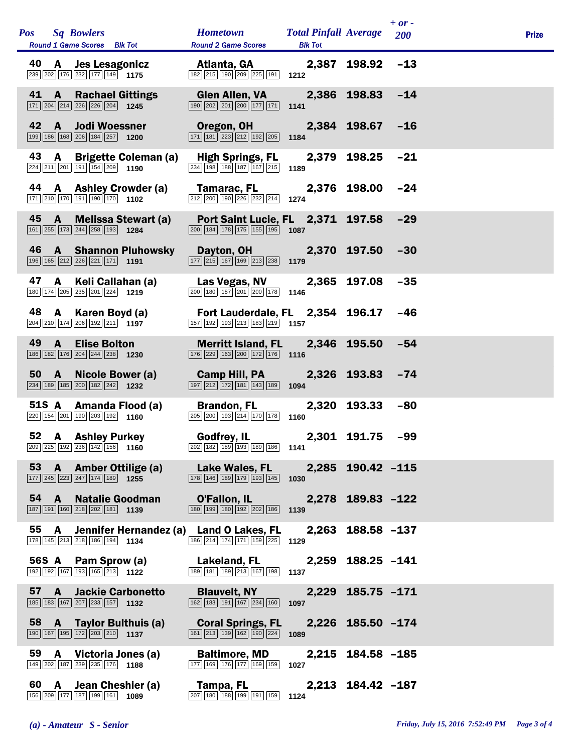|    | Pos Sq Bowlers<br>Round 1 Game Scores Blk Tot                                                                                                                                                                      | <b>Hometown</b> Total Pinfall Average 200<br><b>Round 2 Game Scores</b>                                                              | <b>Blk Tot</b>   |                   | $+ or -$ | <b>Prize</b> |
|----|--------------------------------------------------------------------------------------------------------------------------------------------------------------------------------------------------------------------|--------------------------------------------------------------------------------------------------------------------------------------|------------------|-------------------|----------|--------------|
|    | <b>40 A Jes Lesagonicz Atlanta, GA</b> 2,387 198.92<br><b>2.387 198.92</b><br><b>198.92</b><br><b>198.92</b><br><b>188.92</b><br><b>188.92</b><br><b>188.92</b><br><b>188.92</b><br><b>198.92</b><br><b>198.92</b> |                                                                                                                                      |                  |                   | $-13$    |              |
|    | Rachael Gittings Glen Allen, VA 2,386 198.83 -14<br>41 A<br>171 204 214 226 226 204 1245                                                                                                                           | $\boxed{190}$ $\boxed{202}$ $\boxed{201}$ $\boxed{200}$ $\boxed{177}$ $\boxed{171}$ 1141                                             |                  |                   |          |              |
|    | 42 A Jodi Woessner<br>199 186 168 206 184 257 1200                                                                                                                                                                 | Oregon, OH 2,384 198.67 -16<br>$\boxed{171}$ $\boxed{181}$ $\boxed{223}$ $\boxed{212}$ $\boxed{192}$ $\boxed{205}$ <b>1184</b>       |                  |                   |          |              |
|    | 43 A Brigette Coleman (a) High Springs, FL 2,379 198.25<br>224 211 201 191 154 209 1190                                                                                                                            | $\boxed{234}$ 198 188 187 167 215 189                                                                                                |                  |                   | $-21$    |              |
|    | 44 A Ashley Crowder (a) Tamarac, FL<br>171 210 170 191 190 170 1102                                                                                                                                                | $\boxed{212}$ $\boxed{200}$ $\boxed{190}$ $\boxed{226}$ $\boxed{232}$ $\boxed{214}$ <b>1274</b>                                      |                  | 2,376 198.00      | -24      |              |
|    | 45 A Melissa Stewart (a)<br>161 255 173 244 258 193 1284                                                                                                                                                           | Port Saint Lucie, FL 2,371 197.58<br>$\boxed{200}$ $\boxed{184}$ $\boxed{178}$ $\boxed{175}$ $\boxed{155}$ $\boxed{195}$ <b>1087</b> |                  |                   | $-29$    |              |
|    | 46 A Shannon Pluhowsky Dayton, OH 2,370 197.50<br>$\boxed{196}$ $\boxed{165}$ $\boxed{212}$ $\boxed{226}$ $\boxed{221}$ $\boxed{171}$ 1191                                                                         | $\boxed{177}\boxed{215}\boxed{167}\boxed{169}\boxed{213}\boxed{238}$ 1179                                                            |                  |                   | $-30$    |              |
|    | 47 A Keli Callahan (a)<br>180 174 205 235 201 224 1219                                                                                                                                                             | Las Vegas, NV 2,365 197.08<br>$\boxed{200}$ 180 187 201 200 178 1146                                                                 |                  |                   | $-35$    |              |
|    | 48 A Karen Boyd (a) Fort Lauderdale, FL 2,354 196.17 -46<br>$\boxed{204}$ $\boxed{210}$ $\boxed{174}$ $\boxed{206}$ $\boxed{192}$ $\boxed{211}$ $\boxed{}$ $\boxed{1197}$                                          | $\boxed{157}$ $\boxed{192}$ $\boxed{193}$ $\boxed{213}$ $\boxed{183}$ $\boxed{219}$ <b>1157</b>                                      |                  |                   |          |              |
|    | 49 A Elise Bolton<br>186 182 176 204 244 238 1230                                                                                                                                                                  | Merritt Island, FL 2,346 195.50<br>$\boxed{176}$ $\boxed{229}$ $\boxed{163}$ $\boxed{200}$ $\boxed{172}$ $\boxed{176}$ <b>1116</b>   |                  |                   | $-54$    |              |
|    | 50 A Nicole Bower (a)<br>$\boxed{234}$ 189 185 200 182 242 1232                                                                                                                                                    | Camp Hill, PA   2,326   193.83<br>$\boxed{197}$ $\boxed{212}$ $\boxed{172}$ $\boxed{181}$ $\boxed{143}$ $\boxed{189}$ 1094           |                  |                   | $-74$    |              |
|    | 51S A Amanda Flood (a) Brandon, FL 2,320 193.33<br>220 154 201 190 203 192 1160                                                                                                                                    | $\boxed{205}$ $\boxed{200}$ $\boxed{193}$ $\boxed{214}$ $\boxed{170}$ $\boxed{178}$ <b>1160</b>                                      |                  |                   | $-80$    |              |
|    | 52 A Ashley Purkey Godfrey, IL<br>$\boxed{209}$ $\boxed{225}$ $\boxed{192}$ $\boxed{236}$ $\boxed{142}$ $\boxed{156}$ <b>1160</b>                                                                                  | $\sqrt{202}\sqrt{182}\sqrt{189}\sqrt{193}\sqrt{189}\sqrt{186}$ 1141                                                                  | 2,301 191.75 -99 |                   |          |              |
|    | 53 A Amber Ottilige (a)<br>$\boxed{177}$ $\boxed{245}$ $\boxed{223}$ $\boxed{247}$ $\boxed{174}$ $\boxed{189}$ <b>1255</b>                                                                                         | <b>Lake Wales, FL</b><br>178 146 189 179 193 145 1030                                                                                |                  | 2,285 190.42 -115 |          |              |
|    | $54 \quad A$<br><b>Natalie Goodman</b><br>187 191 160 218 202 181 139                                                                                                                                              | O'Fallon, IL<br>180 199 180 192 202 186                                                                                              | 1139             | 2,278 189.83 -122 |          |              |
|    | 55 A Jennifer Hernandez (a) Land O Lakes, FL<br>178 145 213 218 186 194 1134                                                                                                                                       | 186 214 174 171 159 225                                                                                                              | 2,263<br>1129    | 188.58 -137       |          |              |
|    | 56S A<br>Pam Sprow (a)<br>192 192 167 193 165 213 1122                                                                                                                                                             | Lakeland, FL<br>189 181 189 213 167 198                                                                                              | 2,259<br>1137    | $188.25 - 141$    |          |              |
| 57 | <b>Jackie Carbonetto</b><br>$\mathbf{A}$<br>185 183 167 207 233 157 1132                                                                                                                                           | <b>Blauvelt, NY</b><br>$\boxed{162}$ $\boxed{183}$ $\boxed{191}$ $\boxed{167}$ $\boxed{234}$ $\boxed{160}$ 1097                      |                  | 2,229 185.75 -171 |          |              |
|    | 58 A Taylor Bulthuis (a)<br>190 167 195 172 203 210 1137                                                                                                                                                           | <b>Coral Springs, FL</b><br>$\boxed{161}$ $\boxed{213}$ $\boxed{139}$ $\boxed{162}$ $\boxed{190}$ $\boxed{224}$                      | 1089             | 2,226 185.50 -174 |          |              |
| 59 | A Victoria Jones (a)<br>149 202 187 239 235 176 1188                                                                                                                                                               | <b>Baltimore, MD</b><br>177 169 176 177 169 159                                                                                      | 2,215<br>1027    | 184.58 -185       |          |              |
|    | 60 A Jean Cheshier (a)<br>156 209 177 187 199 161 1089                                                                                                                                                             | Tampa, FL<br>207 180 188 199 191 159 1124                                                                                            |                  | 2,213 184.42 -187 |          |              |